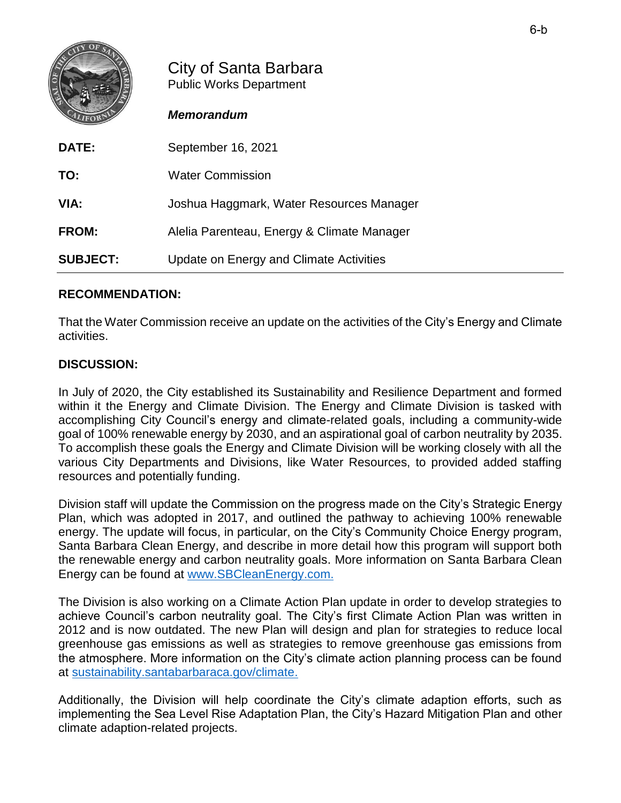

## City of Santa Barbara Public Works Department

## *Memorandum*

| DATE:           | September 16, 2021                         |
|-----------------|--------------------------------------------|
| TO:             | <b>Water Commission</b>                    |
| VIA:            | Joshua Haggmark, Water Resources Manager   |
| <b>FROM:</b>    | Alelia Parenteau, Energy & Climate Manager |
| <b>SUBJECT:</b> | Update on Energy and Climate Activities    |

## **RECOMMENDATION:**

That the Water Commission receive an update on the activities of the City's Energy and Climate activities.

## **DISCUSSION:**

In July of 2020, the City established its Sustainability and Resilience Department and formed within it the Energy and Climate Division. The Energy and Climate Division is tasked with accomplishing City Council's energy and climate-related goals, including a community-wide goal of 100% renewable energy by 2030, and an aspirational goal of carbon neutrality by 2035. To accomplish these goals the Energy and Climate Division will be working closely with all the various City Departments and Divisions, like Water Resources, to provided added staffing resources and potentially funding.

Division staff will update the Commission on the progress made on the City's Strategic Energy Plan, which was adopted in 2017, and outlined the pathway to achieving 100% renewable energy. The update will focus, in particular, on the City's Community Choice Energy program, Santa Barbara Clean Energy, and describe in more detail how this program will support both the renewable energy and carbon neutrality goals. More information on Santa Barbara Clean Energy can be found at [www.SBCleanEnergy.com.](https://www.sbcleanenergy.com/)

The Division is also working on a Climate Action Plan update in order to develop strategies to achieve Council's carbon neutrality goal. The City's first Climate Action Plan was written in 2012 and is now outdated. The new Plan will design and plan for strategies to reduce local greenhouse gas emissions as well as strategies to remove greenhouse gas emissions from the atmosphere. More information on the City's climate action planning process can be found at [sustainability.santabarbaraca.gov/climate.](https://sustainability.santabarbaraca.gov/climate/) 

Additionally, the Division will help coordinate the City's climate adaption efforts, such as implementing the Sea Level Rise Adaptation Plan, the City's Hazard Mitigation Plan and other climate adaption-related projects.